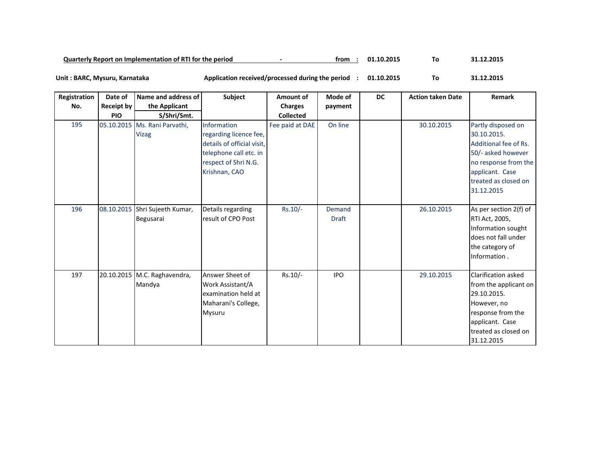| Quarterly Report on Implementation of RTI for the period |  | trom | 01.10.201 |  | $1.12.201$ <sup>r</sup> |
|----------------------------------------------------------|--|------|-----------|--|-------------------------|
|----------------------------------------------------------|--|------|-----------|--|-------------------------|

**01.10.2015 To 31.12.2015 Unit : BARC, Mysuru, Karnataka Application received/processed during the period :**

| Registration | Date of           | Name and address of                           | Subject                                                                                                                                       | Amount of        | Mode of                | <b>DC</b> | <b>Action taken Date</b> | Remark                                                                                                                                                            |
|--------------|-------------------|-----------------------------------------------|-----------------------------------------------------------------------------------------------------------------------------------------------|------------------|------------------------|-----------|--------------------------|-------------------------------------------------------------------------------------------------------------------------------------------------------------------|
| No.          | <b>Receipt by</b> | the Applicant                                 |                                                                                                                                               | <b>Charges</b>   | payment                |           |                          |                                                                                                                                                                   |
|              | <b>PIO</b>        | S/Shri/Smt.                                   |                                                                                                                                               | <b>Collected</b> |                        |           |                          |                                                                                                                                                                   |
| 195          |                   | 05.10.2015 Ms. Rani Parvathi,<br><b>Vizag</b> | <b>Information</b><br>regarding licence fee,<br>details of official visit,<br>telephone call etc. in<br>respect of Shri N.G.<br>Krishnan, CAO | Fee paid at DAE  | On line                |           | 30.10.2015               | Partly disposed on<br>30.10.2015.<br>Additional fee of Rs.<br>50/- asked however<br>no response from the<br>applicant. Case<br>treated as closed on<br>31.12.2015 |
| 196          |                   | 08.10.2015 Shri Sujeeth Kumar,<br>Begusarai   | Details regarding<br>result of CPO Post                                                                                                       | $Rs.10/-$        | Demand<br><b>Draft</b> |           | 26.10.2015               | As per section 2(f) of<br>RTI Act, 2005,<br>Information sought<br>does not fall under<br>the category of<br>Information.                                          |
| 197          |                   | 20.10.2015 M.C. Raghavendra,<br>Mandya        | Answer Sheet of<br>Work Assistant/A<br>examination held at<br>Maharani's College,<br>Mysuru                                                   | Rs.10/-          | <b>IPO</b>             |           | 29.10.2015               | Clarification asked<br>from the applicant on<br>29.10.2015.<br>However, no<br>response from the<br>applicant. Case<br>treated as closed on<br>31.12.2015          |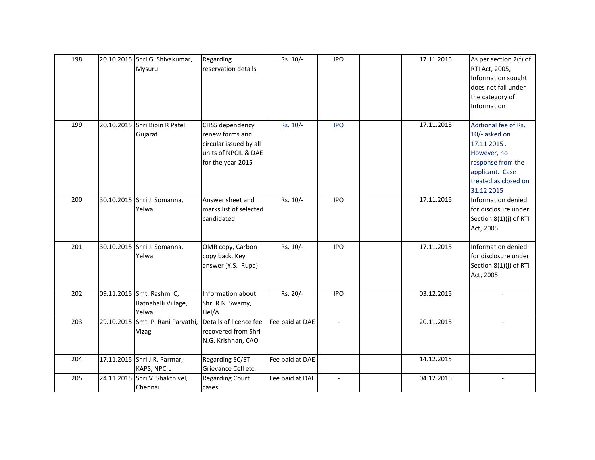| 198 |            | 20.10.2015 Shri G. Shivakumar,<br>Mysuru                   | Regarding<br>reservation details                                                                          | Rs. 10/-        | <b>IPO</b>               | 17.11.2015 | As per section 2(f) of<br>RTI Act, 2005,<br>Information sought<br>does not fall under<br>the category of<br>Information                           |
|-----|------------|------------------------------------------------------------|-----------------------------------------------------------------------------------------------------------|-----------------|--------------------------|------------|---------------------------------------------------------------------------------------------------------------------------------------------------|
| 199 |            | 20.10.2015 Shri Bipin R Patel,<br>Gujarat                  | CHSS dependency<br>renew forms and<br>circular issued by all<br>units of NPCIL & DAE<br>for the year 2015 | Rs. 10/-        | <b>IPO</b>               | 17.11.2015 | Aditional fee of Rs.<br>10/- asked on<br>17.11.2015.<br>However, no<br>response from the<br>applicant. Case<br>treated as closed on<br>31.12.2015 |
| 200 |            | 30.10.2015 Shri J. Somanna,<br>Yelwal                      | Answer sheet and<br>marks list of selected<br>candidated                                                  | Rs. 10/-        | <b>IPO</b>               | 17.11.2015 | Information denied<br>for disclosure under<br>Section 8(1)(j) of RTI<br>Act, 2005                                                                 |
| 201 |            | 30.10.2015 Shri J. Somanna,<br>Yelwal                      | OMR copy, Carbon<br>copy back, Key<br>answer (Y.S. Rupa)                                                  | Rs. 10/-        | <b>IPO</b>               | 17.11.2015 | Information denied<br>for disclosure under<br>Section 8(1)(j) of RTI<br>Act, 2005                                                                 |
| 202 |            | 09.11.2015 Smt. Rashmi C,<br>Ratnahalli Village,<br>Yelwal | Information about<br>Shri R.N. Swamy,<br>Hel/A                                                            | Rs. 20/-        | <b>IPO</b>               | 03.12.2015 |                                                                                                                                                   |
| 203 | 29.10.2015 | Smt. P. Rani Parvathi,<br>Vizag                            | Details of licence fee<br>recovered from Shri<br>N.G. Krishnan, CAO                                       | Fee paid at DAE | $\overline{\phantom{a}}$ | 20.11.2015 |                                                                                                                                                   |
| 204 |            | 17.11.2015 Shri J.R. Parmar,<br><b>KAPS, NPCIL</b>         | Regarding SC/ST<br>Grievance Cell etc.                                                                    | Fee paid at DAE | $\overline{\phantom{a}}$ | 14.12.2015 | $\blacksquare$                                                                                                                                    |
| 205 |            | 24.11.2015 Shri V. Shakthivel,<br>Chennai                  | <b>Regarding Court</b><br>cases                                                                           | Fee paid at DAE | $\blacksquare$           | 04.12.2015 |                                                                                                                                                   |